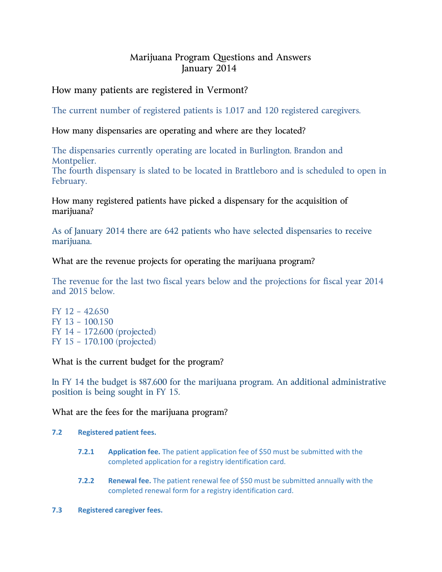# Marijuana Program Questions and Answers January 2014

# How many patients are registered in Vermont?

The current number of registered patients is 1,017 and 120 registered caregivers.

## How many dispensaries are operating and where are they located?

The dispensaries currently operating are located in Burlington, Brandon and Montpelier.

The fourth dispensary is slated to be located in Brattleboro and is scheduled to open in February.

How many registered patients have picked a dispensary for the acquisition of marijuana?

As of January 2014 there are 642 patients who have selected dispensaries to receive marijuana.

### What are the revenue projects for operating the marijuana program?

The revenue for the last two fiscal years below and the projections for fiscal year 2014 and 2015 below.

FY 12 – 42,650 FY 13 – 100,150 FY 14 – 172,600 (projected) FY 15 – 170,100 (projected)

What is the current budget for the program?

In FY 14 the budget is \$87,600 for the marijuana program. An additional administrative position is being sought in FY 15.

### What are the fees for the marijuana program?

#### **7.2 Registered patient fees.**

- **7.2.1 Application fee.** The patient application fee of \$50 must be submitted with the completed application for a registry identification card.
- **7.2.2 Renewal fee.** The patient renewal fee of \$50 must be submitted annually with the completed renewal form for a registry identification card.
- **7.3 Registered caregiver fees.**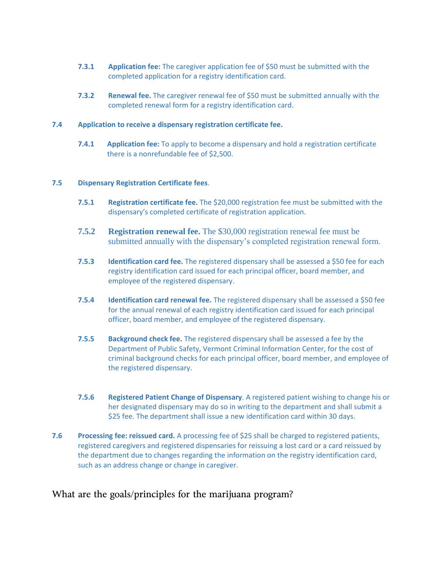- **7.3.1 Application fee:** The caregiver application fee of \$50 must be submitted with the completed application for a registry identification card.
- **7.3.2 Renewal fee.** The caregiver renewal fee of \$50 must be submitted annually with the completed renewal form for a registry identification card.

#### **7.4 Application to receive a dispensary registration certificate fee.**

**7.4.1 Application fee:** To apply to become a dispensary and hold a registration certificate there is a nonrefundable fee of \$2,500.

#### **7.5 Dispensary Registration Certificate fees**.

- **7.5.1 Registration certificate fee.** The \$20,000 registration fee must be submitted with the dispensary's completed certificate of registration application.
- **7.5.2 Registration renewal fee.** The \$30,000 registration renewal fee must be submitted annually with the dispensary's completed registration renewal form.
- **7.5.3 Identification card fee.** The registered dispensary shall be assessed a \$50 fee for each registry identification card issued for each principal officer, board member, and employee of the registered dispensary.
- **7.5.4 Identification card renewal fee.** The registered dispensary shall be assessed a \$50 fee for the annual renewal of each registry identification card issued for each principal officer, board member, and employee of the registered dispensary.
- **7.5.5 Background check fee.** The registered dispensary shall be assessed a fee by the Department of Public Safety, Vermont Criminal Information Center, for the cost of criminal background checks for each principal officer, board member, and employee of the registered dispensary.
- **7.5.6 Registered Patient Change of Dispensary**. A registered patient wishing to change his or her designated dispensary may do so in writing to the department and shall submit a \$25 fee. The department shall issue a new identification card within 30 days.
- **7.6 Processing fee: reissued card.** A processing fee of \$25 shall be charged to registered patients, registered caregivers and registered dispensaries for reissuing a lost card or a card reissued by the department due to changes regarding the information on the registry identification card, such as an address change or change in caregiver.

### What are the goals/principles for the marijuana program?